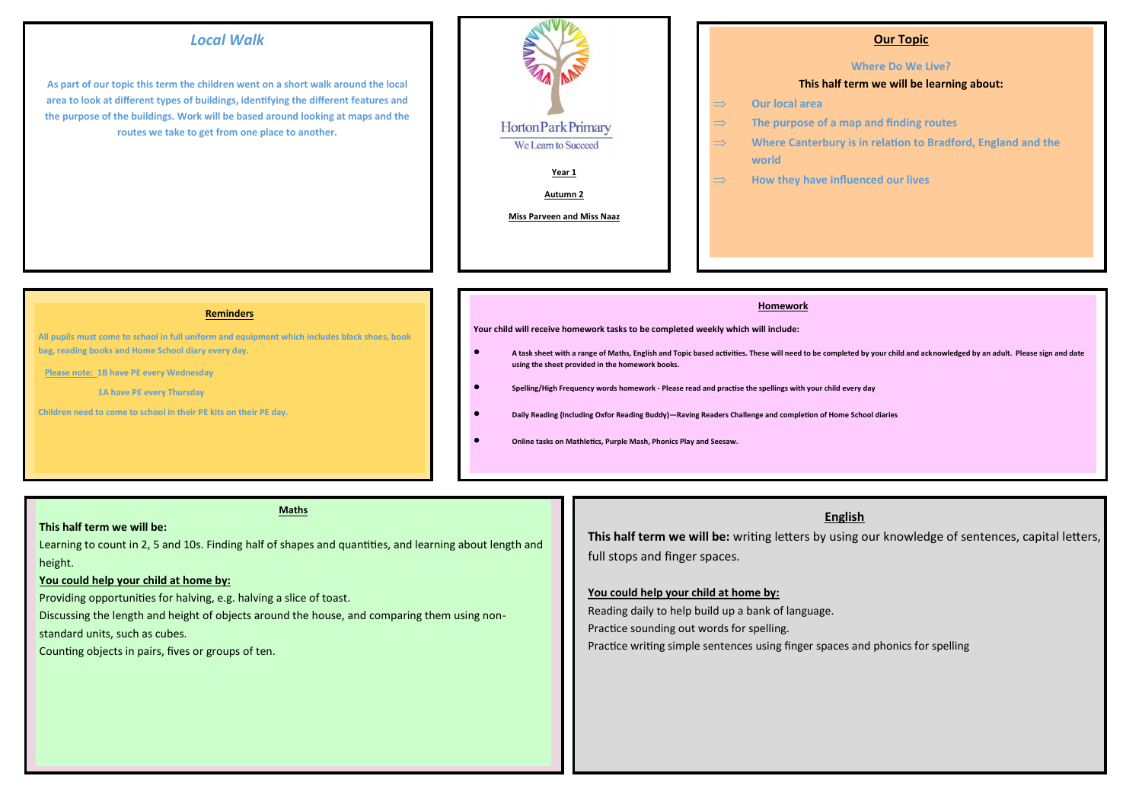## *Local Walk*

**As part of our topic this term the children went on a short walk around the local area to look at different types of buildings, identifying the different features and the purpose of the buildings. Work will be based around looking at maps and the routes we take to get from one place to another.**



## **Our Topic**

#### **Where Do We Live?**

#### **This half term we will be learning about:**

- **Our local area**
- **The purpose of a map and finding routes**
- **Where Canterbury is in relation to Bradford, England and the world**
- **How they have influenced our lives**

#### **Reminders**

**All pupils must come to school in full uniform and equipment which includes black shoes, book bag, reading books and Home School diary every day.** 

 **Please note: 1B have PE every Wednesday**

 **1A have PE every Thursday**

**Children need to come to school in their PE kits on their PE day***.*

#### **Homework**

**Your child will receive homework tasks to be completed weekly which will include:** 

- **A task sheet with a range of Maths, English and Topic based activities. These will need to be completed by your child and acknowledged by an adult. Please sign and date using the sheet provided in the homework books.**
- **Spelling/High Frequency words homework - Please read and practise the spellings with your child every day**
- **Daily Reading (Including Oxfor Reading Buddy)—Raving Readers Challenge and completion of Home School diaries**
- **Online tasks on Mathletics, Purple Mash, Phonics Play and Seesaw.**

## **Maths**

## **This half term we will be:**

Learning to count in 2, 5 and 10s. Finding half of shapes and quantities, and learning about length and height.

### **You could help your child at home by:**

Providing opportunities for halving, e.g. halving a slice of toast.

Discussing the length and height of objects around the house, and comparing them using non-

standard units, such as cubes.

Counting objects in pairs, fives or groups of ten.

## **English**

**This half term we will be:** writing letters by using our knowledge of sentences, capital letters, full stops and finger spaces.

### **You could help your child at home by:**

Reading daily to help build up a bank of language. Practice sounding out words for spelling. Practice writing simple sentences using finger spaces and phonics for spelling